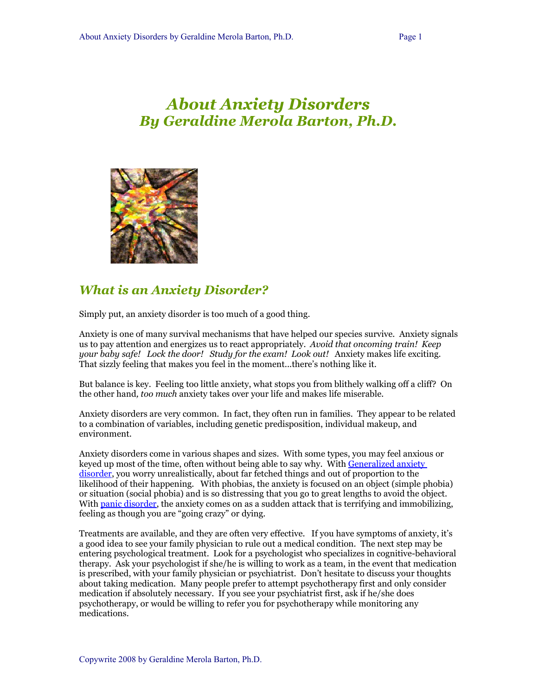# *About Anxiety Disorders By Geraldine Merola Barton, Ph.D.*



## *What is an Anxiety Disorder?*

Simply put, an anxiety disorder is too much of a good thing.

Anxiety is one of many survival mechanisms that have helped our species survive. Anxiety signals us to pay attention and energizes us to react appropriately. *Avoid that oncoming train! Keep your baby safe! Lock the door! Study for the exam! Look out!* Anxiety makes life exciting. That sizzly feeling that makes you feel in the moment...there's nothing like it.

But balance is key. Feeling too little anxiety, what stops you from blithely walking off a cliff? On the other hand*, too much* anxiety takes over your life and makes life miserable.

Anxiety disorders are very common. In fact, they often run in families. They appear to be related to a combination of variables, including genetic predisposition, individual makeup, and environment.

Anxiety disorders come in various shapes and sizes. With some types, you may feel anxious or keyed up most of the time, often without being able to say why. With [Generalized anxiety](file:///C:UsersGERALD~1AppDataLocalTempmsohtml1clip_page0028.htm) [disorder,](file:///C:UsersGERALD~1AppDataLocalTempmsohtml1clip_page0028.htm) you worry unrealistically, about far fetched things and out of proportion to the likelihood of their happening. With phobias, the anxiety is focused on an object (simple phobia) or situation (social phobia) and is so distressing that you go to great lengths to avoid the object. With [panic disorder,](file:///C:UsersGERALD~1AppDataLocalTempmsohtml1clip_page0029.htm) the anxiety comes on as a sudden attack that is terrifying and immobilizing, feeling as though you are "going crazy" or dying.

Treatments are available, and they are often very effective. If you have symptoms of anxiety, it's a good idea to see your family physician to rule out a medical condition. The next step may be entering psychological treatment. Look for a psychologist who specializes in cognitive-behavioral therapy. Ask your psychologist if she/he is willing to work as a team, in the event that medication is prescribed, with your family physician or psychiatrist. Don't hesitate to discuss your thoughts about taking medication. Many people prefer to attempt psychotherapy first and only consider medication if absolutely necessary. If you see your psychiatrist first, ask if he/she does psychotherapy, or would be willing to refer you for psychotherapy while monitoring any medications.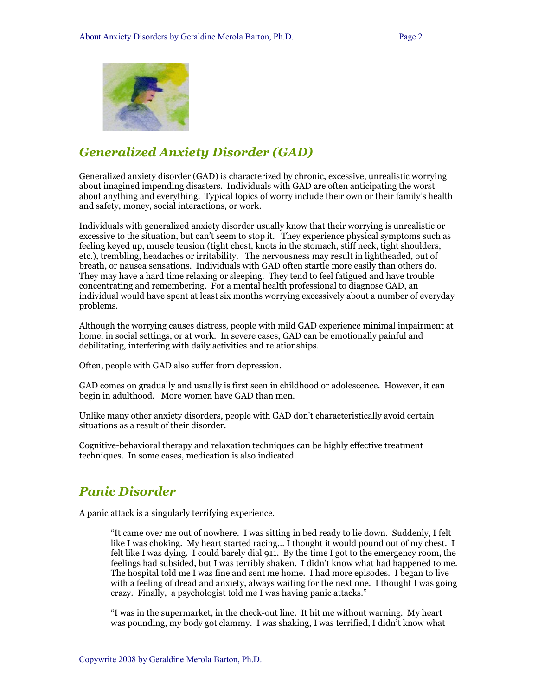

## *Generalized Anxiety Disorder (GAD)*

Generalized anxiety disorder (GAD) is characterized by chronic, excessive, unrealistic worrying about imagined impending disasters. Individuals with GAD are often anticipating the worst about anything and everything. Typical topics of worry include their own or their family's health and safety, money, social interactions, or work.

Individuals with generalized anxiety disorder usually know that their worrying is unrealistic or excessive to the situation, but can't seem to stop it. They experience physical symptoms such as feeling keyed up, muscle tension (tight chest, knots in the stomach, stiff neck, tight shoulders, etc.), trembling, headaches or irritability. The nervousness may result in lightheaded, out of breath, or nausea sensations. Individuals with GAD often startle more easily than others do. They may have a hard time relaxing or sleeping. They tend to feel fatigued and have trouble concentrating and remembering. For a mental health professional to diagnose GAD, an individual would have spent at least six months worrying excessively about a number of everyday problems.

Although the worrying causes distress, people with mild GAD experience minimal impairment at home, in social settings, or at work. In severe cases, GAD can be emotionally painful and debilitating, interfering with daily activities and relationships.

Often, people with GAD also suffer from depression.

GAD comes on gradually and usually is first seen in childhood or adolescence. However, it can begin in adulthood. More women have GAD than men.

Unlike many other anxiety disorders, people with GAD don't characteristically avoid certain situations as a result of their disorder.

Cognitive-behavioral therapy and relaxation techniques can be highly effective treatment techniques. In some cases, medication is also indicated.

### *Panic Disorder*

A panic attack is a singularly terrifying experience.

"It came over me out of nowhere. I was sitting in bed ready to lie down. Suddenly, I felt like I was choking. My heart started racing… I thought it would pound out of my chest. I felt like I was dying. I could barely dial 911. By the time I got to the emergency room, the feelings had subsided, but I was terribly shaken. I didn't know what had happened to me. The hospital told me I was fine and sent me home. I had more episodes. I began to live with a feeling of dread and anxiety, always waiting for the next one. I thought I was going crazy. Finally, a psychologist told me I was having panic attacks."

"I was in the supermarket, in the check-out line. It hit me without warning. My heart was pounding, my body got clammy. I was shaking, I was terrified, I didn't know what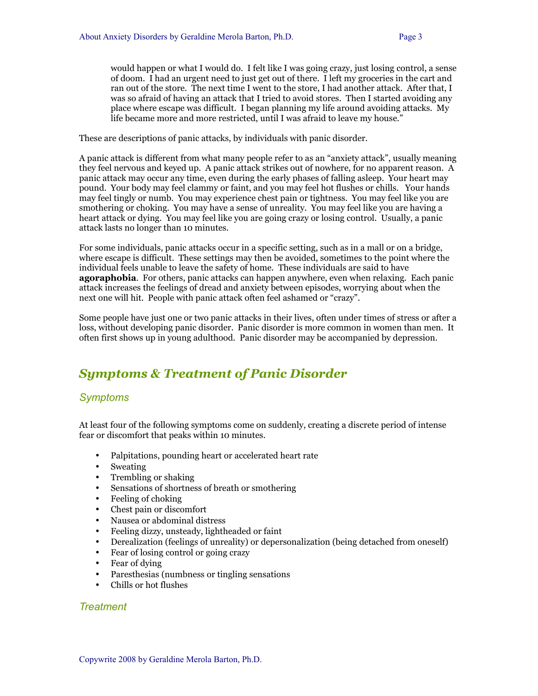would happen or what I would do. I felt like I was going crazy, just losing control, a sense of doom. I had an urgent need to just get out of there. I left my groceries in the cart and ran out of the store. The next time I went to the store, I had another attack. After that, I was so afraid of having an attack that I tried to avoid stores. Then I started avoiding any place where escape was difficult. I began planning my life around avoiding attacks. My life became more and more restricted, until I was afraid to leave my house."

These are descriptions of panic attacks, by individuals with panic disorder.

A panic attack is different from what many people refer to as an "anxiety attack", usually meaning they feel nervous and keyed up. A panic attack strikes out of nowhere, for no apparent reason. A panic attack may occur any time, even during the early phases of falling asleep. Your heart may pound. Your body may feel clammy or faint, and you may feel hot flushes or chills. Your hands may feel tingly or numb. You may experience chest pain or tightness. You may feel like you are smothering or choking. You may have a sense of unreality. You may feel like you are having a heart attack or dying. You may feel like you are going crazy or losing control. Usually, a panic attack lasts no longer than 10 minutes.

For some individuals, panic attacks occur in a specific setting, such as in a mall or on a bridge, where escape is difficult. These settings may then be avoided, sometimes to the point where the individual feels unable to leave the safety of home. These individuals are said to have **agoraphobia**. For others, panic attacks can happen anywhere, even when relaxing. Each panic attack increases the feelings of dread and anxiety between episodes, worrying about when the next one will hit. People with panic attack often feel ashamed or "crazy".

Some people have just one or two panic attacks in their lives, often under times of stress or after a loss, without developing panic disorder. Panic disorder is more common in women than men. It often first shows up in young adulthood. Panic disorder may be accompanied by depression.

## *Symptoms & Treatment of Panic Disorder*

#### *Symptoms*

At least four of the following symptoms come on suddenly, creating a discrete period of intense fear or discomfort that peaks within 10 minutes.

- Palpitations, pounding heart or accelerated heart rate
- Sweating
- Trembling or shaking
- Sensations of shortness of breath or smothering
- Feeling of choking
- Chest pain or discomfort
- Nausea or abdominal distress
- Feeling dizzy, unsteady, lightheaded or faint
- Derealization (feelings of unreality) or depersonalization (being detached from oneself)
- Fear of losing control or going crazy
- Fear of dying
- Paresthesias (numbness or tingling sensations
- Chills or hot flushes

#### *Treatment*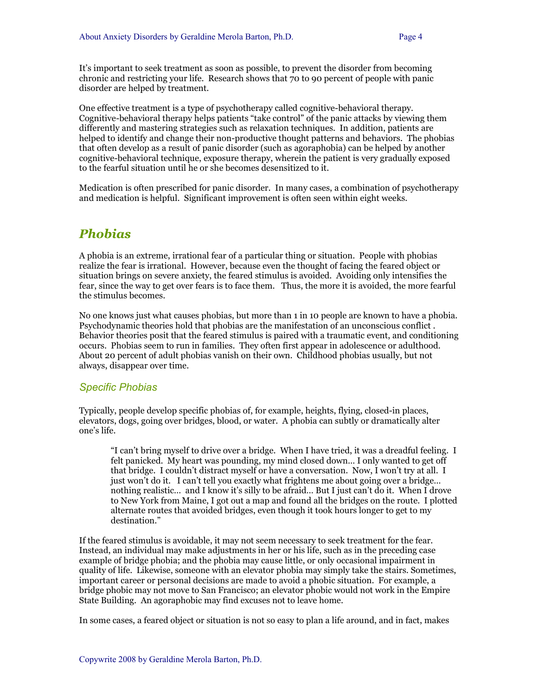It's important to seek treatment as soon as possible, to prevent the disorder from becoming chronic and restricting your life. Research shows that 70 to 90 percent of people with panic disorder are helped by treatment.

One effective treatment is a type of psychotherapy called cognitive-behavioral therapy. Cognitive-behavioral therapy helps patients "take control" of the panic attacks by viewing them differently and mastering strategies such as relaxation techniques. In addition, patients are helped to identify and change their non-productive thought patterns and behaviors. The phobias that often develop as a result of panic disorder (such as agoraphobia) can be helped by another cognitive-behavioral technique, exposure therapy, wherein the patient is very gradually exposed to the fearful situation until he or she becomes desensitized to it.

Medication is often prescribed for panic disorder. In many cases, a combination of psychotherapy and medication is helpful. Significant improvement is often seen within eight weeks.

### *Phobias*

A phobia is an extreme, irrational fear of a particular thing or situation. People with phobias realize the fear is irrational. However, because even the thought of facing the feared object or situation brings on severe anxiety, the feared stimulus is avoided. Avoiding only intensifies the fear, since the way to get over fears is to face them. Thus, the more it is avoided, the more fearful the stimulus becomes.

No one knows just what causes phobias, but more than 1 in 10 people are known to have a phobia. Psychodynamic theories hold that phobias are the manifestation of an unconscious conflict . Behavior theories posit that the feared stimulus is paired with a traumatic event, and conditioning occurs. Phobias seem to run in families. They often first appear in adolescence or adulthood. About 20 percent of adult phobias vanish on their own. Childhood phobias usually, but not always, disappear over time.

#### *Specific Phobias*

Typically, people develop specific phobias of, for example, heights, flying, closed-in places, elevators, dogs, going over bridges, blood, or water. A phobia can subtly or dramatically alter one's life.

"I can't bring myself to drive over a bridge. When I have tried, it was a dreadful feeling. I felt panicked. My heart was pounding, my mind closed down… I only wanted to get off that bridge. I couldn't distract myself or have a conversation. Now, I won't try at all. I just won't do it. I can't tell you exactly what frightens me about going over a bridge… nothing realistic… and I know it's silly to be afraid… But I just can't do it. When I drove to New York from Maine, I got out a map and found all the bridges on the route. I plotted alternate routes that avoided bridges, even though it took hours longer to get to my destination."

If the feared stimulus is avoidable, it may not seem necessary to seek treatment for the fear. Instead, an individual may make adjustments in her or his life, such as in the preceding case example of bridge phobia; and the phobia may cause little, or only occasional impairment in quality of life. Likewise, someone with an elevator phobia may simply take the stairs. Sometimes, important career or personal decisions are made to avoid a phobic situation. For example, a bridge phobic may not move to San Francisco; an elevator phobic would not work in the Empire State Building. An agoraphobic may find excuses not to leave home.

In some cases, a feared object or situation is not so easy to plan a life around, and in fact, makes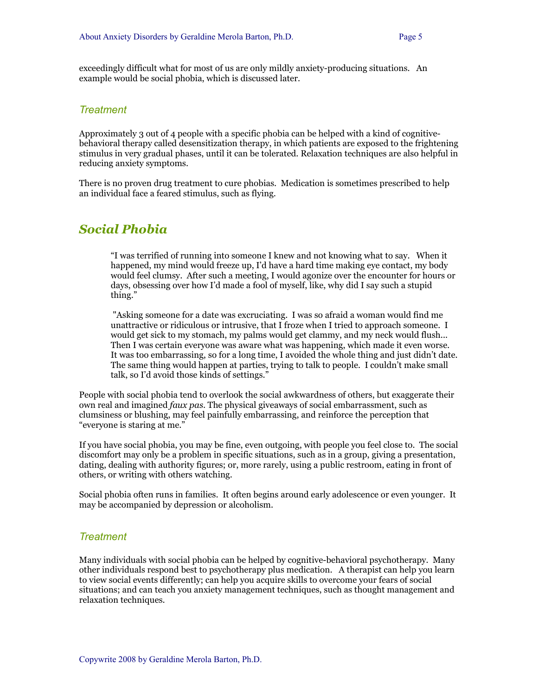exceedingly difficult what for most of us are only mildly anxiety-producing situations. An example would be social phobia, which is discussed later.

#### *Treatment*

Approximately 3 out of 4 people with a specific phobia can be helped with a kind of cognitivebehavioral therapy called desensitization therapy, in which patients are exposed to the frightening stimulus in very gradual phases, until it can be tolerated. Relaxation techniques are also helpful in reducing anxiety symptoms.

There is no proven drug treatment to cure phobias. Medication is sometimes prescribed to help an individual face a feared stimulus, such as flying.

### *Social Phobia*

"I was terrified of running into someone I knew and not knowing what to say. When it happened, my mind would freeze up, I'd have a hard time making eye contact, my body would feel clumsy. After such a meeting, I would agonize over the encounter for hours or days, obsessing over how I'd made a fool of myself, like, why did I say such a stupid thing."

 "Asking someone for a date was excruciating. I was so afraid a woman would find me unattractive or ridiculous or intrusive, that I froze when I tried to approach someone. I would get sick to my stomach, my palms would get clammy, and my neck would flush... Then I was certain everyone was aware what was happening, which made it even worse. It was too embarrassing, so for a long time, I avoided the whole thing and just didn't date. The same thing would happen at parties, trying to talk to people. I couldn't make small talk, so I'd avoid those kinds of settings."

People with social phobia tend to overlook the social awkwardness of others, but exaggerate their own real and imagined *faux pas*. The physical giveaways of social embarrassment, such as clumsiness or blushing, may feel painfully embarrassing, and reinforce the perception that "everyone is staring at me."

If you have social phobia, you may be fine, even outgoing, with people you feel close to. The social discomfort may only be a problem in specific situations, such as in a group, giving a presentation, dating, dealing with authority figures; or, more rarely, using a public restroom, eating in front of others, or writing with others watching.

Social phobia often runs in families. It often begins around early adolescence or even younger. It may be accompanied by depression or alcoholism.

#### *Treatment*

Many individuals with social phobia can be helped by cognitive-behavioral psychotherapy. Many other individuals respond best to psychotherapy plus medication. A therapist can help you learn to view social events differently; can help you acquire skills to overcome your fears of social situations; and can teach you anxiety management techniques, such as thought management and relaxation techniques.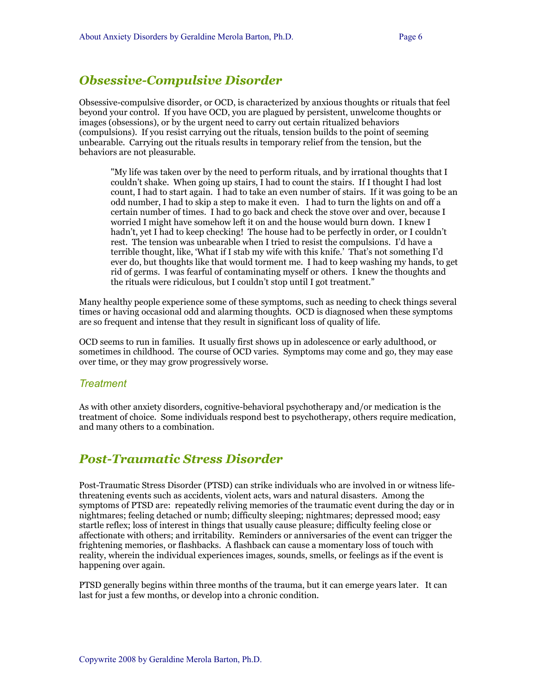## *Obsessive-Compulsive Disorder*

Obsessive-compulsive disorder, or OCD, is characterized by anxious thoughts or rituals that feel beyond your control. If you have OCD, you are plagued by persistent, unwelcome thoughts or images (obsessions), or by the urgent need to carry out certain ritualized behaviors (compulsions). If you resist carrying out the rituals, tension builds to the point of seeming unbearable. Carrying out the rituals results in temporary relief from the tension, but the behaviors are not pleasurable.

"My life was taken over by the need to perform rituals, and by irrational thoughts that I couldn't shake. When going up stairs, I had to count the stairs. If I thought I had lost count, I had to start again. I had to take an even number of stairs. If it was going to be an odd number, I had to skip a step to make it even. I had to turn the lights on and off a certain number of times. I had to go back and check the stove over and over, because I worried I might have somehow left it on and the house would burn down. I knew I hadn't, yet I had to keep checking! The house had to be perfectly in order, or I couldn't rest. The tension was unbearable when I tried to resist the compulsions. I'd have a terrible thought, like, 'What if I stab my wife with this knife.' That's not something I'd ever do, but thoughts like that would torment me. I had to keep washing my hands, to get rid of germs. I was fearful of contaminating myself or others. I knew the thoughts and the rituals were ridiculous, but I couldn't stop until I got treatment."

Many healthy people experience some of these symptoms, such as needing to check things several times or having occasional odd and alarming thoughts. OCD is diagnosed when these symptoms are so frequent and intense that they result in significant loss of quality of life.

OCD seems to run in families. It usually first shows up in adolescence or early adulthood, or sometimes in childhood. The course of OCD varies. Symptoms may come and go, they may ease over time, or they may grow progressively worse.

#### *Treatment*

As with other anxiety disorders, cognitive-behavioral psychotherapy and/or medication is the treatment of choice. Some individuals respond best to psychotherapy, others require medication, and many others to a combination.

### *Post-Traumatic Stress Disorder*

Post-Traumatic Stress Disorder (PTSD) can strike individuals who are involved in or witness lifethreatening events such as accidents, violent acts, wars and natural disasters. Among the symptoms of PTSD are: repeatedly reliving memories of the traumatic event during the day or in nightmares; feeling detached or numb; difficulty sleeping; nightmares; depressed mood; easy startle reflex; loss of interest in things that usually cause pleasure; difficulty feeling close or affectionate with others; and irritability. Reminders or anniversaries of the event can trigger the frightening memories, or flashbacks. A flashback can cause a momentary loss of touch with reality, wherein the individual experiences images, sounds, smells, or feelings as if the event is happening over again.

PTSD generally begins within three months of the trauma, but it can emerge years later. It can last for just a few months, or develop into a chronic condition.